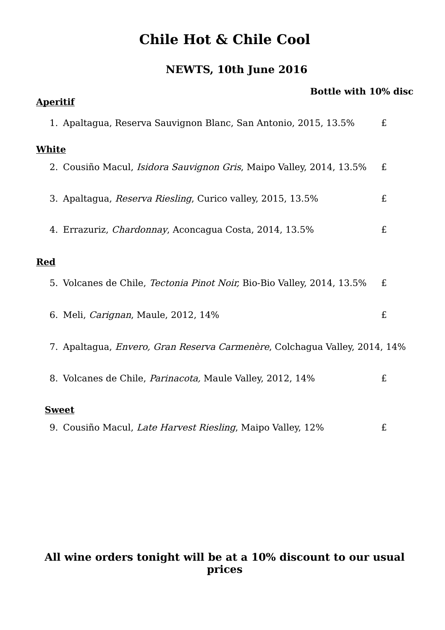## **Chile Hot & Chile Cool**

## **NEWTS, 10th June 2016**

| <b>Bottle with 10% disc</b>                                                       |   |
|-----------------------------------------------------------------------------------|---|
| <b>Aperitif</b>                                                                   |   |
| 1. Apaltagua, Reserva Sauvignon Blanc, San Antonio, 2015, 13.5%                   | £ |
| <b>White</b>                                                                      |   |
| 2. Cousiño Macul, <i>Isidora Sauvignon Gris</i> , Maipo Valley, 2014, 13.5%       | £ |
| 3. Apaltagua, Reserva Riesling, Curico valley, 2015, 13.5%                        | £ |
| 4. Errazuriz, <i>Chardonnay</i> , Aconcagua Costa, 2014, 13.5%                    | £ |
| <b>Red</b>                                                                        |   |
| 5. Volcanes de Chile, <i>Tectonia Pinot Noir</i> , Bio-Bio Valley, 2014, 13.5%    | £ |
| 6. Meli, <i>Carignan</i> , Maule, 2012, 14%                                       | £ |
| 7. Apaltagua, <i>Envero, Gran Reserva Carmenère</i> , Colchagua Valley, 2014, 14% |   |
| 8. Volcanes de Chile, Parinacota, Maule Valley, 2012, 14%                         | £ |
| <b>Sweet</b>                                                                      |   |
| 9. Cousiño Macul, Late Harvest Riesling, Maipo Valley, 12%                        | £ |

## **All wine orders tonight will be at a 10% discount to our usual prices**